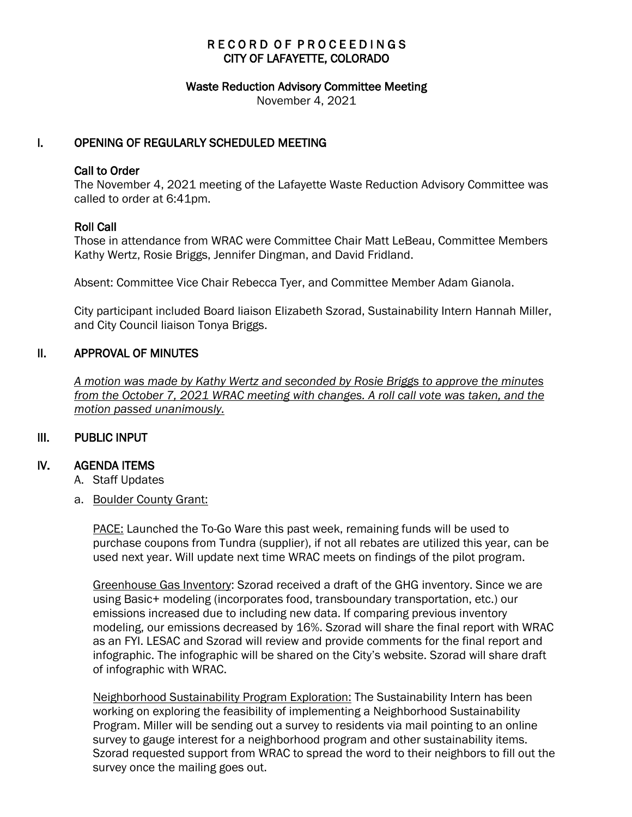# RECORD OF PROCEEDINGS CITY OF LAFAYETTE, COLORADO

#### Waste Reduction Advisory Committee Meeting

November 4, 2021

## I. OPENING OF REGULARLY SCHEDULED MEETING

### Call to Order

The November 4, 2021 meeting of the Lafayette Waste Reduction Advisory Committee was called to order at 6:41pm.

### Roll Call

Those in attendance from WRAC were Committee Chair Matt LeBeau, Committee Members Kathy Wertz, Rosie Briggs, Jennifer Dingman, and David Fridland.

Absent: Committee Vice Chair Rebecca Tyer, and Committee Member Adam Gianola.

City participant included Board liaison Elizabeth Szorad, Sustainability Intern Hannah Miller, and City Council liaison Tonya Briggs.

### II. APPROVAL OF MINUTES

 *A motion was made by Kathy Wertz and seconded by Rosie Briggs to approve the minutes from the October 7, 2021 WRAC meeting with changes. A roll call vote was taken, and the motion passed unanimously.* 

## III. PUBLIC INPUT

### IV. AGENDA ITEMS

- A. Staff Updates
- a. Boulder County Grant:

PACE: Launched the To-Go Ware this past week, remaining funds will be used to purchase coupons from Tundra (supplier), if not all rebates are utilized this year, can be used next year. Will update next time WRAC meets on findings of the pilot program.

Greenhouse Gas Inventory: Szorad received a draft of the GHG inventory. Since we are using Basic+ modeling (incorporates food, transboundary transportation, etc.) our emissions increased due to including new data. If comparing previous inventory modeling, our emissions decreased by 16%. Szorad will share the final report with WRAC as an FYI. LESAC and Szorad will review and provide comments for the final report and infographic. The infographic will be shared on the City's website. Szorad will share draft of infographic with WRAC.

Neighborhood Sustainability Program Exploration: The Sustainability Intern has been working on exploring the feasibility of implementing a Neighborhood Sustainability Program. Miller will be sending out a survey to residents via mail pointing to an online survey to gauge interest for a neighborhood program and other sustainability items. Szorad requested support from WRAC to spread the word to their neighbors to fill out the survey once the mailing goes out.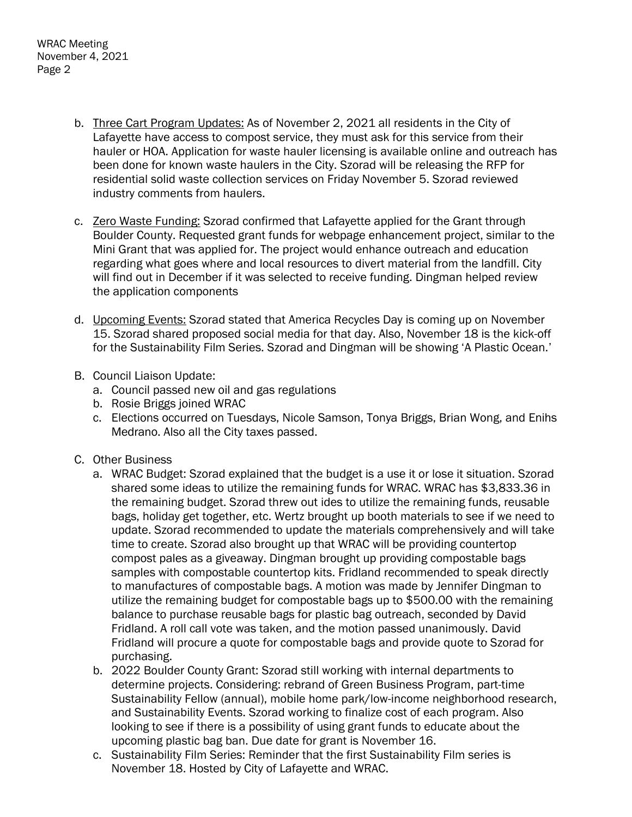- b. Three Cart Program Updates: As of November 2, 2021 all residents in the City of Lafayette have access to compost service, they must ask for this service from their hauler or HOA. Application for waste hauler licensing is available online and outreach has been done for known waste haulers in the City. Szorad will be releasing the RFP for residential solid waste collection services on Friday November 5. Szorad reviewed industry comments from haulers.
- c. Zero Waste Funding: Szorad confirmed that Lafayette applied for the Grant through Boulder County. Requested grant funds for webpage enhancement project, similar to the Mini Grant that was applied for. The project would enhance outreach and education regarding what goes where and local resources to divert material from the landfill. City will find out in December if it was selected to receive funding. Dingman helped review the application components
- d. Upcoming Events: Szorad stated that America Recycles Day is coming up on November 15. Szorad shared proposed social media for that day. Also, November 18 is the kick-off for the Sustainability Film Series. Szorad and Dingman will be showing 'A Plastic Ocean.'
- B. Council Liaison Update:
	- a. Council passed new oil and gas regulations
	- b. Rosie Briggs joined WRAC
	- c. Elections occurred on Tuesdays, Nicole Samson, Tonya Briggs, Brian Wong, and Enihs Medrano. Also all the City taxes passed.
- C. Other Business
	- a. WRAC Budget: Szorad explained that the budget is a use it or lose it situation. Szorad shared some ideas to utilize the remaining funds for WRAC. WRAC has \$3,833.36 in the remaining budget. Szorad threw out ides to utilize the remaining funds, reusable bags, holiday get together, etc. Wertz brought up booth materials to see if we need to update. Szorad recommended to update the materials comprehensively and will take time to create. Szorad also brought up that WRAC will be providing countertop compost pales as a giveaway. Dingman brought up providing compostable bags samples with compostable countertop kits. Fridland recommended to speak directly to manufactures of compostable bags. A motion was made by Jennifer Dingman to utilize the remaining budget for compostable bags up to \$500.00 with the remaining balance to purchase reusable bags for plastic bag outreach, seconded by David Fridland. A roll call vote was taken, and the motion passed unanimously. David Fridland will procure a quote for compostable bags and provide quote to Szorad for purchasing.
	- b. 2022 Boulder County Grant: Szorad still working with internal departments to determine projects. Considering: rebrand of Green Business Program, part-time Sustainability Fellow (annual), mobile home park/low-income neighborhood research, and Sustainability Events. Szorad working to finalize cost of each program. Also looking to see if there is a possibility of using grant funds to educate about the upcoming plastic bag ban. Due date for grant is November 16.
	- c. Sustainability Film Series: Reminder that the first Sustainability Film series is November 18. Hosted by City of Lafayette and WRAC.